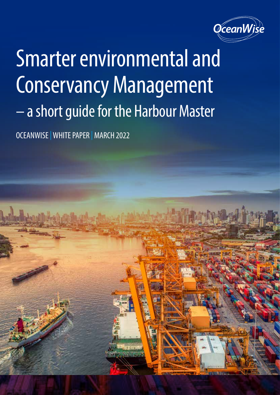

# Smarter environmental and Conservancy Management – a short guide for the Harbour Master

OCEANWISE |WHITE PAPER | MARCH 2022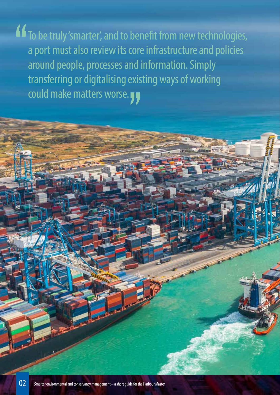$16$  T<sub>o</sub> be truly 'smarter', and to benefit from new technologies, a port must also review its core infrastructure and policies around people, processes and information. Simply transferring or digitalising existing ways of working could make matters worse.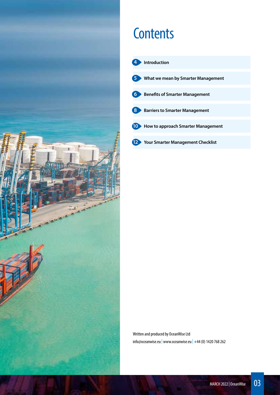

# **Contents**



Written and produced by OceanWise Ltd  $info@oceanwise.eu$  www.oceanwise.eu +44 (0) 1420 768 262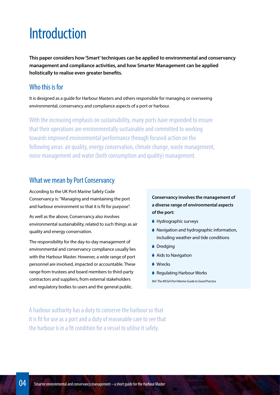# Introduction

**This paper considers how 'Smart' techniques can be applied to environmental and conservancy management and compliance activities, and how Smarter Management can be applied holistically to realise even greater benefits.**

#### Who this is for

It is designed as a guide for Harbour Masters and others responsible for managing or overseeing environmental, conservancy and compliance aspects of a port or harbour.

With the increasing emphasis on sustainability, many ports have responded to ensure that their operations are environmentally sustainable and committed to working towards improved environmental performance through focused action on the following areas: air quality, energy conservation, climate change, waste management, noise management and water (both consumption and quality) management.

#### What we mean by Port Conservancy

According to the UK Port Marine Safety Code Conservancy is: "Managing and maintaining the port and harbour environment so that it is fit for purpose".

As well as the above, Conservancy also involves environmental sustainability, related to such things as air quality and energy conservation.

The responsibility for the day-to-day management of environmental and conservancy compliance usually lies with the Harbour Master. However, a wide range of port personnel are involved, impacted or accountable. These range from trustees and board members to third-party contractors and suppliers, from external stakeholders and regulatory bodies to users and the general public.

**Conservancy involves the management of a diverse range of environmental aspects of the port:**

- Hydrographic surveys
- Navigation and hydrographic information, including weather and tide conditions
- **O**redging
- Aids to Navigation
- **Mrecks**
- Regulating Harbour Works

*Ref: The MCGA Port Marine Guide to Good Practice*

A harbour authority has a duty to conserve the harbour so that it is fit for use as a port and a duty of reasonable care to see that the harbour is in a fit condition for a vessel to utilise it safely.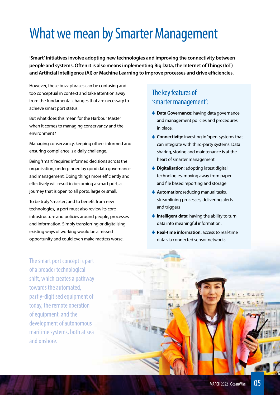# What we mean by Smarter Management

**'Smart' initiatives involve adopting new technologies and improving the connectivity between people and systems. Often it is also means implementing Big Data, the Internet of Things (IoT) and Artificial Intelligence (AI) or Machine Learning to improve processes and drive efficiencies.** 

However, these buzz phrases can be confusing and too conceptual in context and take attention away from the fundamental changes that are necessary to achieve smart port status.

But what does this mean for the Harbour Master when it comes to managing conservancy and the environment?

Managing conservancy, keeping others informed and ensuring compliance is a daily challenge.

Being 'smart' requires informed decisions across the organisation, underpinned by good data governance and management. Doing things more efficiently and effectively will result in becoming a smart port, a journey that is open to all ports, large or small.

To be truly 'smarter', and to benefit from new technologies, a port must also review its core infrastructure and policies around people, processes and information. Simply transferring or digitalising existing ways of working would be a missed opportunity and could even make matters worse.

# The key features of 'smarter management':

- **Data Governance:** having data governance and management policies and procedures in place.
- **Connectivity:** investing in 'open' systems that can integrate with third-party systems. Data sharing, storing and maintenance is at the heart of smarter management.
- **Digitalisation:** adopting latest digital technologies, moving away from paper and file based reporting and storage
- **Automation:** reducing manual tasks, streamlining processes, delivering alerts and triggers
- **Intelligent data:** having the ability to turn data into meaningful information.
- **↓ Real-time information:** access to real-time data via connected sensor networks.

The smart port concept is part of a broader technological shift, which creates a pathway towards the automated, partly-digitised equipment of today, the remote operation of equipment, and the development of autonomous maritime systems, both at sea and onshore.

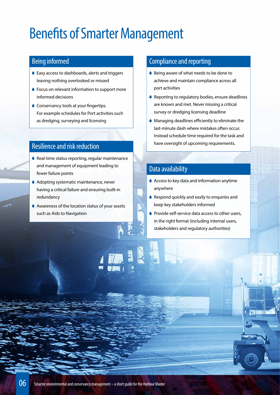# Benefits of Smarter Management

### Being informed

- ♦ Easy access to dashboards, alerts and triggers leaving nothing overlooked or missed
- ♦ Focus on relevant information to support more informed decisions
- **Conservancy tools at your fingertips.** For example schedules for Port activities such as dredging, surveying and licensing

#### Resilience and risk reduction

- ♦ Real-time status reporting, regular maintenance and management of equipment leading to fewer failure points
- Adopting systematic maintenance, never having a critical failure and ensuring built-in redundancy
- Awareness of the location status of your assets such as Aids to Navigation

## Compliance and reporting

- Being aware of what needs to be done to achieve and maintain compliance across all port activities
- ♦ Reporting to regulatory bodies, ensure deadlines are known and met. Never missing a critical survey or dredging licensing deadline
- Managing deadlines efficiently to eliminate the last-minute dash where mistakes often occur. Instead schedule time required for the task and have oversight of upcoming requirements.

### Data availability

- ♦ Access to key data and information anytime anywhere
- Respond quickly and easily to enquiries and keep key stakeholders informed
- Provide self-service data access to other users, in the right format (including internal users, stakeholders and regulatory authorities)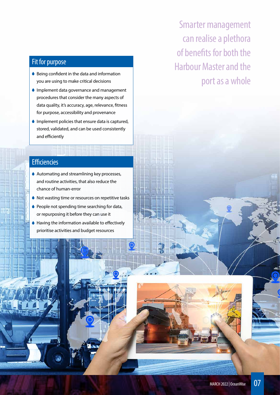## Fit for purpose

- ♦ Being confident in the data and information you are using to make critical decisions
- **Implement data governance and management** procedures that consider the many aspects of data quality, it's accuracy, age, relevance, fitness for purpose, accessibility and provenance
- $\bullet$  Implement policies that ensure data is captured, stored, validated, and can be used consistently and efficiently

Smarter management can realise a plethora of benefits for both the Harbour Master and the port as a whole

### **Efficiencies**

- ♦ Automating and streamlining key processes, and routine activities, that also reduce the chance of human-error
- Not wasting time or resources on repetitive tasks
- People not spending time searching for data, or repurposing it before they can use it
- Having the information available to effectively prioritise activities and budget resources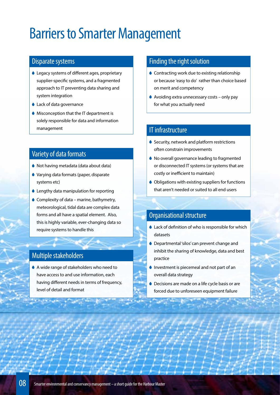# Barriers to Smarter Management

#### Disparate systems

- Legacy systems of different ages, proprietary supplier-specific systems, and a fragmented approach to IT preventing data sharing and system integration
- Lack of data governance
- Misconception that the IT department is solely responsible for data and information management

### Variety of data formats

- Not having metadata (data about data)
- Varying data formats (paper, disparate systems etc)
- Lengthy data manipulation for reporting
- $\bullet$  Complexity of data marine, bathymetry, meteorological, tidal data are complex data forms and all have a spatial element. Also, this is highly variable, ever-changing data so require systems to handle this

# Multiple stakeholders

 A wide range of stakeholders who need to have access to and use information, each having different needs in terms of frequency, level of detail and format

#### Finding the right solution

- Contracting work due to existing relationship or because 'easy to do' rather than choice based on merit and competency
- $\bullet$  Avoiding extra unnecessary costs only pay for what you actually need

# IT infrastructure

- Security, network and platform restrictions often constrain improvements
- ◆ No overall governance leading to fragmented or disconnected IT systems (or systems that are costly or inefficient to maintain)
- Obligations with existing suppliers for functions that aren't needed or suited to all end users

### Organisational structure

- Lack of definition of who is responsible for which datasets
- Departmental 'silos' can prevent change and inhibit the sharing of knowledge, data and best practice
- **Investment is piecemeal and not part of an** overall data strategy
- Decisions are made on a life cycle basis or are forced due to unforeseen equipment failure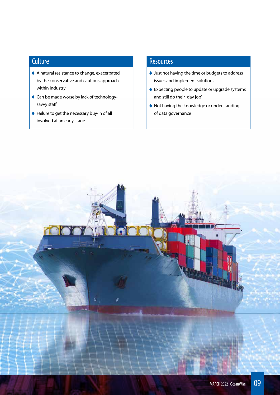# **Culture**

- A natural resistance to change, exacerbated by the conservative and cautious approach within industry
- Can be made worse by lack of technologysavvy staff
- Failure to get the necessary buy-in of all involved at an early stage

### **Resources**

- Just not having the time or budgets to address issues and implement solutions
- Expecting people to update or upgrade systems and still do their 'day job'
- Not having the knowledge or understanding of data governance

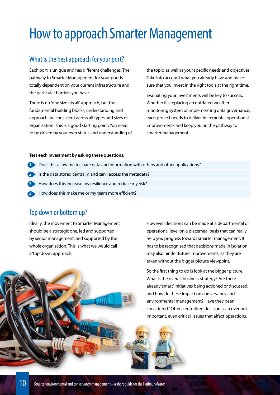# How to approach Smarter Management

### What is the best approach for your port?

Each port is unique and has different challenges. The pathway to Smarter Management for your port is totally dependent on your current infrastructure and the particular barriers you have.

There is no 'one size fits all' approach, but the fundamental building blocks, understanding and approach are consistent across all types and sizes of organisation. This is a good starting point. You need to be driven by your own status and understanding of the topic, as well as your specific needs and objectives. Take into account what you already have and make sure that you invest in the right tools at the right time.

Evaluating your investments will be key to success. Whether it's replacing an outdated weather monitoring system or implementing data governance, each project needs to deliver incremental operational improvements and keep you on the pathway to smarter management.

#### **Test each investment by asking these questions;**

- **1** Does this allow me to share data and information with others and other applications?
- **2** Is the data stored centrally, and can I access the metadata?
- **3** How does this increase my resilience and reduce my risk?
- How does this make me or my team more efficient? **4**

#### Top down or bottom up?

Ideally, the movement to Smarter Management should be a strategic one, led and supported by senior management, and supported by the whole organisation. This is what we would call a 'top down' approach.

However, decisions can be made at a departmental or operational level on a piecemeal basis that can really help you progress towards smarter management. It has to be recognised that decisions made in isolation may also hinder future improvements, as they are taken without the bigger picture viewpoint.

So the first thing to do is look at the bigger picture. What is the overall business strategy? Are there already 'smart' initiatives being actioned or discussed, and how do these impact on conservancy and environmental management? Have they been considered? Often centralised decisions can overlook important, even critical, issues that affect operations.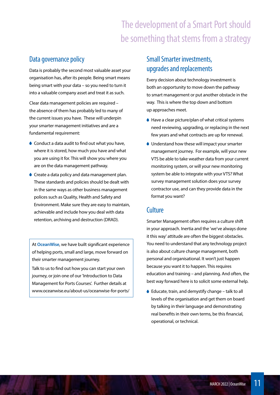# The development of a Smart Port should be something that stems from a strategy

### Data governance policy

Data is probably the second most valuable asset your organisation has, after its people. Being smart means being smart with your data – so you need to turn it into a valuable company asset and treat it as such.

Clear data management policies are required – the absence of them has probably led to many of the current issues you have. These will underpin your smarter management initiatives and are a fundamental requirement:

- Conduct a data audit to find out what you have, where it is stored, how much you have and what you are using it for. This will show you where you are on the data management pathway.
- Create a data policy and data management plan. These standards and policies should be dealt with in the same ways as other business management polices such as Quality, Health and Safety and Environment. Make sure they are easy to maintain, achievable and include how you deal with data retention, archiving and destruction (DRAD).

At **OceanWise**, we have built significant experience of helping ports, small and large, move forward on their smarter management journey.

Talk to us to find out how you can start your own journey, or join one of our 'Introduction to Data Management for Ports Courses'. Further details at www.oceanwise.eu/about-us/oceanwise-for-ports/

## Small Smarter investments, upgrades and replacements

Every decision about technology investment is both an opportunity to move down the pathway to smart management or put another obstacle in the way. This is where the top down and bottom up approaches meet.

- ♦ Have a clear picture/plan of what critical systems need reviewing, upgrading, or replacing in the next few years and what contracts are up for renewal.
- Understand how these will impact your smarter management journey. For example, will your new VTS be able to take weather data from your current monitoring system, or will your new monitoring system be able to integrate with your VTS? What survey management solution does your survey contractor use, and can they provide data in the format you want?

#### **Culture**

Smarter Management often requires a culture shift in your approach. Inertia and the 'we've always done it this way' attitude are often the biggest obstacles. You need to understand that any technology project is also about culture change management, both personal and organisational. It won't just happen because you want it to happen. This requires education and training – and planning. And often, the best way forward here is to solicit some external help.

● Educate, train, and demystify change – talk to all levels of the organisation and get them on board by talking in their language and demonstrating real benefits in their own terms, be this financial, operational, or technical.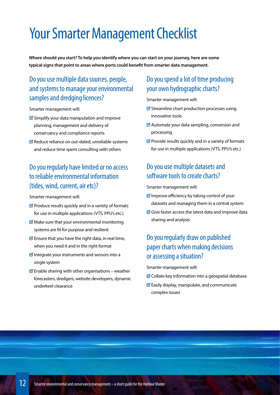# Your Smarter Management Checklist

**Where should you start? To help you identify where you can start on your journey, here are some typical signs that point to areas where ports could benefit from smarter data management.** 

# Do you use multiple data sources, people, and systems to manage your environmental samples and dredging licences?

Smarter management will:

- $\triangle$  Simplify your data manipulation and improve planning, management and delivery of conservancy and compliance reports
- $\blacksquare$  Reduce reliance on out-dated, unreliable systems and reduce time spent consulting with others

# Do you regularly have limited or no access to reliable environmental information (tides, wind, current, air etc)?

Smarter management will:

- $\mathcal G$  Produce results quickly and in a variety of formats for use in multiple applications (VTS, PPU's etc.)
- $\mathcal G$  Make sure that your environmental monitoring systems are fit for purpose and resilient
- $\mathcal G$  Ensure that you have the right data, in real time, when you need it and in the right format
- $\blacksquare$  Integrate your instruments and sensors into a single system
- $\blacksquare$  Enable sharing with other organisations weather forecasters, dredgers, website developers, dynamic underkeel clearance

### Do you spend a lot of time producing your own hydrographic charts?

Smarter management will:

- $\blacksquare$  Streamline chart production processes using innovative tools
- $\mathcal G$  Automate your data sampling, conversion and processing
- $\blacksquare$  Provide results quickly and in a variety of formats for use in multiple applications (VTS, PPU's etc.)

# Do you use multiple datasets and software tools to create charts?

Smarter management will:

- $\blacksquare$  Improve efficiency by taking control of your datasets and managing them in a central system
- $\mathbb G$  Give faster access the latest data and improve data sharing and analysis

# Do you regularly draw on published paper charts when making decisions or assessing a situation?

Smarter management will:

- $\mathcal G$  Collate key information into a geospatial database
- $\mathcal G$  Easily display, manipulate, and communicate complex issues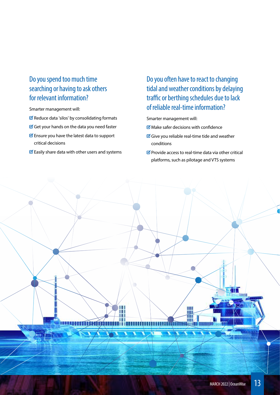# Do you spend too much time searching or having to ask others for relevant information?

Smarter management will:

- $\blacksquare$  Reduce data 'silos' by consolidating formats
- Get your hands on the data you need faster
- $\blacksquare$  Ensure you have the latest data to support critical decisions
- $\mathcal G$  Easily share data with other users and systems

Do you often have to react to changing tidal and weather conditions by delaying traffic or berthing schedules due to lack of reliable real-time information?

Smarter management will:

- $\blacksquare$  Make safer decisions with confidence
- Give you reliable real-time tide and weather conditions

m m TINIT

 $\Box$  Provide access to real-time data via other critical platforms, such as pilotage and VTS systems

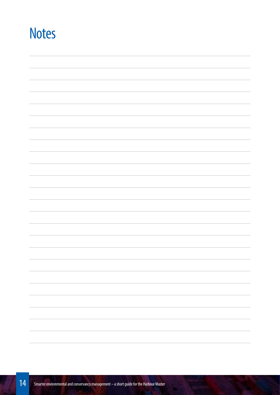# **Notes**

| $\sim$                   |
|--------------------------|
|                          |
|                          |
|                          |
|                          |
|                          |
|                          |
|                          |
| $\overline{\phantom{a}}$ |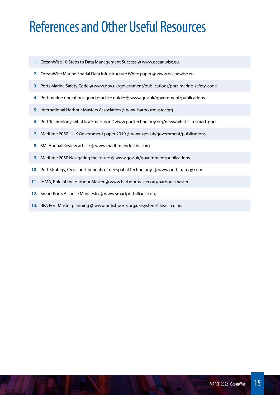# References and Other Useful Resources

- **1.** OceanWise 10 Steps to Data Management Success @ www.oceanwise.eu
- **2.** OceanWise Marine Spatial Data Infrastructure White paper @ www.oceanwise.eu
- **3.** Ports Marine Safety Code @ www.gov.uk/government/publications/port-marine-safety-code
- **4.** Port marine operations good practice guide: @ www.gov.uk/government/publications
- **5.** International Harbour Masters Association @ www.harbourmaster.org
- **6.** Port Technology: what is a Smart port? www.porttechnology.org/news/what-is-a-smart-port
- **7.** Maritime 2050 UK Government paper 2019 @ www.gov.uk/government/publications
- **8.** SMI Annual Review article @ www.maritimeindustries.org
- **9.** Maritime 2050 Navigating the future @ www.gov.uk/government/publications
- **10.** Port Strategy, Cross port benefits of geospatial Technology @ www.portstrategy.com
- **11.** IHMA, Role of the Harbour Master @ www.harbourmaster.org/harbour-master
- **12.** Smart Ports Alliance Manifesto @ www.smartportalliance.org
- **13.** BPA Port Master planning @ www.britishports.org.uk/system/files/circulars